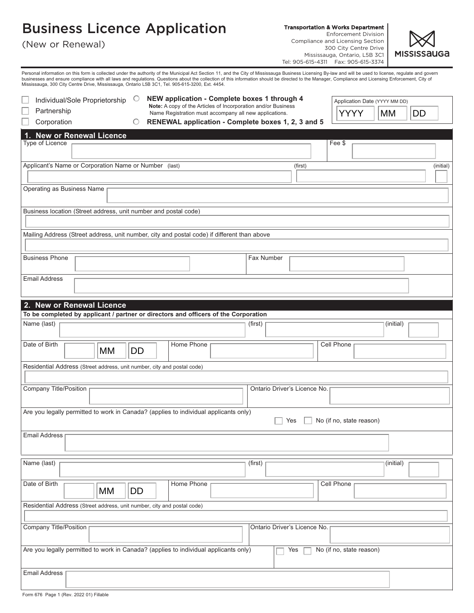## Business Licence Application

Transportation & Works Department

Enforcement Division Compliance and Licensing Section 300 City Centre Drive Mississauga, Ontario, L5B 3C1 Tel: 905-615-4311 Fax: 905-615-3374



(New or Renewal)

Personal information on this form is collected under the authority of the Municipal Act Section 11, and the City of Mississauga Business Licensing By-law and will be used to license, regulate and govern<br>businsses and ensur

| NEW application - Complete boxes 1 through 4<br>$\circ$<br>Individual/Sole Proprietorship<br>Application Date (YYYY MM DD)<br>Note: A copy of the Articles of Incorporation and/or Business |           |  |  |  |  |  |
|---------------------------------------------------------------------------------------------------------------------------------------------------------------------------------------------|-----------|--|--|--|--|--|
| Partnership<br>YYYY<br>MM<br>Name Registration must accompany all new applications.                                                                                                         | <b>DD</b> |  |  |  |  |  |
| RENEWAL application - Complete boxes 1, 2, 3 and 5<br>Corporation<br>O                                                                                                                      |           |  |  |  |  |  |
| 1. New or Renewal Licence                                                                                                                                                                   |           |  |  |  |  |  |
| Type of Licence<br>Fee \$                                                                                                                                                                   |           |  |  |  |  |  |
| Applicant's Name or Corporation Name or Number (last)<br>(first)                                                                                                                            | (initial) |  |  |  |  |  |
|                                                                                                                                                                                             |           |  |  |  |  |  |
| Operating as Business Name                                                                                                                                                                  |           |  |  |  |  |  |
| Business location (Street address, unit number and postal code)                                                                                                                             |           |  |  |  |  |  |
| Mailing Address (Street address, unit number, city and postal code) if different than above                                                                                                 |           |  |  |  |  |  |
|                                                                                                                                                                                             |           |  |  |  |  |  |
| <b>Business Phone</b><br>Fax Number                                                                                                                                                         |           |  |  |  |  |  |
| <b>Email Address</b>                                                                                                                                                                        |           |  |  |  |  |  |
| 2. New or Renewal Licence                                                                                                                                                                   |           |  |  |  |  |  |
| To be completed by applicant / partner or directors and officers of the Corporation                                                                                                         |           |  |  |  |  |  |
| Name (last)<br>(first)<br>(initial)                                                                                                                                                         |           |  |  |  |  |  |
| Date of Birth<br>Home Phone<br>Cell Phone<br><b>MM</b><br><b>DD</b>                                                                                                                         |           |  |  |  |  |  |
| Residential Address (Street address, unit number, city and postal code)                                                                                                                     |           |  |  |  |  |  |
|                                                                                                                                                                                             |           |  |  |  |  |  |
| Company Title/Position<br>Ontario Driver's Licence No.                                                                                                                                      |           |  |  |  |  |  |
| Are you legally permitted to work in Canada? (applies to individual applicants only)<br>No (if no, state reason)<br>Yes                                                                     |           |  |  |  |  |  |
| <b>Email Address</b>                                                                                                                                                                        |           |  |  |  |  |  |
|                                                                                                                                                                                             |           |  |  |  |  |  |
| Name (last)<br>(first)<br>(initial)                                                                                                                                                         |           |  |  |  |  |  |
| Date of Birth<br>Home Phone<br><b>Cell Phone</b><br>MM<br><b>DD</b>                                                                                                                         |           |  |  |  |  |  |
| Residential Address (Street address, unit number, city and postal code)                                                                                                                     |           |  |  |  |  |  |
| <b>Company Title/Position</b><br>Ontario Driver's Licence No.                                                                                                                               |           |  |  |  |  |  |
|                                                                                                                                                                                             |           |  |  |  |  |  |
| Are you legally permitted to work in Canada? (applies to individual applicants only)<br>Yes<br>No (if no, state reason)                                                                     |           |  |  |  |  |  |
| <b>Email Address</b>                                                                                                                                                                        |           |  |  |  |  |  |